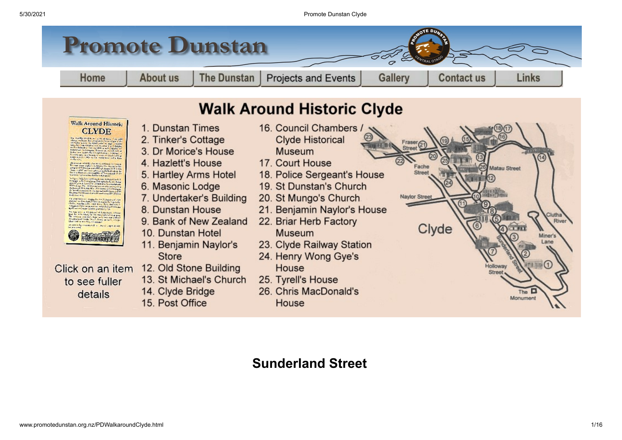

# <span id="page-0-0"></span>**Sunderland Street**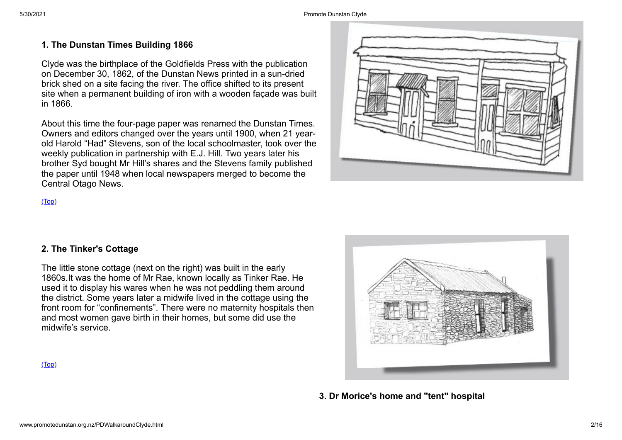#### **1. The Dunstan Times Building 1866**

Clyde was the birthplace of the Goldfields Press with the publication on December 30, 1862, of the Dunstan News printed in a sun-dried brick shed on a site facing the river. The office shifted to its present site when a permanent building of iron with a wooden façade was built in 1866.

About this time the four-page paper was renamed the Dunstan Times. Owners and editors changed over the years until 1900, when 21 yearold Harold "Had" Stevens, son of the local schoolmaster, took over the weekly publication in partnership with E.J. Hill. Two years later his brother Syd bought Mr Hill's shares and the Stevens family published the paper until 1948 when local newspapers merged to become the Central Otago News.



#### [\(Top\)](#page-0-0)

### **2. The Tinker's Cottage**

The little stone cottage (next on the right) was built in the early 1860s.It was the home of Mr Rae, known locally as Tinker Rae. He used it to display his wares when he was not peddling them around the district. Some years later a midwife lived in the cottage using the front room for "confinements". There were no maternity hospitals then and most women gave birth in their homes, but some did use the midwife's service.



**3. Dr Morice's home and "tent" hospital**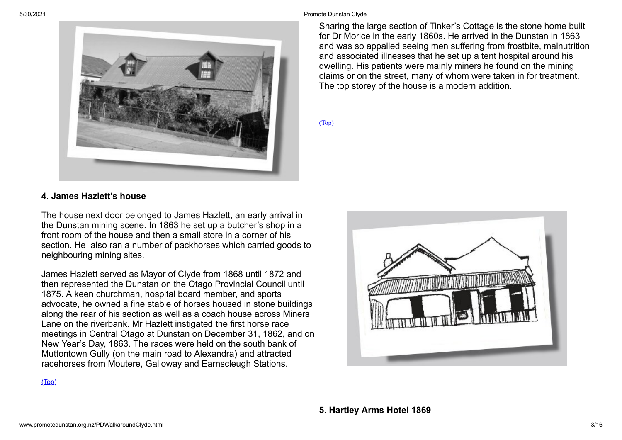

#### **4. James Hazlett's house**

The house next door belonged to James Hazlett, an early arrival in the Dunstan mining scene. In 1863 he set up a butcher's shop in a front room of the house and then a small store in a corner of his section. He also ran a number of packhorses which carried goods to neighbouring mining sites.

James Hazlett served as Mayor of Clyde from 1868 until 1872 and then represented the Dunstan on the Otago Provincial Council until 1875. A keen churchman, hospital board member, and sports advocate, he owned a fine stable of horses housed in stone buildings along the rear of his section as well as a coach house across Miners Lane on the riverbank. Mr Hazlett instigated the first horse race meetings in Central Otago at Dunstan on December 31, 1862, and on New Year's Day, 1863. The races were held on the south bank of Muttontown Gully (on the main road to Alexandra) and attracted racehorses from Moutere, Galloway and Earnscleugh Stations.

Sharing the large section of Tinker's Cottage is the stone home built for Dr Morice in the early 1860s. He arrived in the Dunstan in 1863 and was so appalled seeing men suffering from frostbite, malnutrition and associated illnesses that he set up a tent hospital around his dwelling. His patients were mainly miners he found on the mining claims or on the street, many of whom were taken in for treatment. The top storey of the house is a modern addition.

[\(Top\)](#page-0-0)

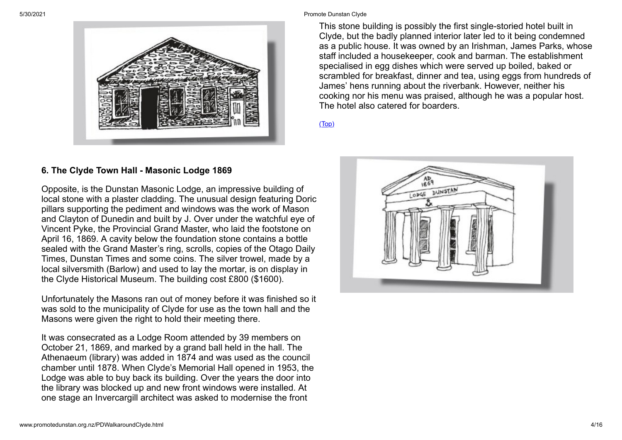

#### 5/30/2021 Promote Dunstan Clyde

This stone building is possibly the first single-storied hotel built in Clyde, but the badly planned interior later led to it being condemned as a public house. It was owned by an Irishman, James Parks, whose staff included a housekeeper, cook and barman. The establishment specialised in egg dishes which were served up boiled, baked or scrambled for breakfast, dinner and tea, using eggs from hundreds of James' hens running about the riverbank. However, neither his cooking nor his menu was praised, although he was a popular host. The hotel also catered for boarders.

[\(Top\)](#page-0-0)

#### **6. The Clyde Town Hall - Masonic Lodge 1869**

Opposite, is the Dunstan Masonic Lodge, an impressive building of local stone with a plaster cladding. The unusual design featuring Doric pillars supporting the pediment and windows was the work of Mason and Clayton of Dunedin and built by J. Over under the watchful eye of Vincent Pyke, the Provincial Grand Master, who laid the footstone on April 16, 1869. A cavity below the foundation stone contains a bottle sealed with the Grand Master's ring, scrolls, copies of the Otago Daily Times, Dunstan Times and some coins. The silver trowel, made by a local silversmith (Barlow) and used to lay the mortar, is on display in the Clyde Historical Museum. The building cost £800 (\$1600).

Unfortunately the Masons ran out of money before it was finished so it was sold to the municipality of Clyde for use as the town hall and the Masons were given the right to hold their meeting there.

It was consecrated as a Lodge Room attended by 39 members on October 21, 1869, and marked by a grand ball held in the hall. The Athenaeum (library) was added in 1874 and was used as the council chamber until 1878. When Clyde's Memorial Hall opened in 1953, the Lodge was able to buy back its building. Over the years the door into the library was blocked up and new front windows were installed. At one stage an Invercargill architect was asked to modernise the front

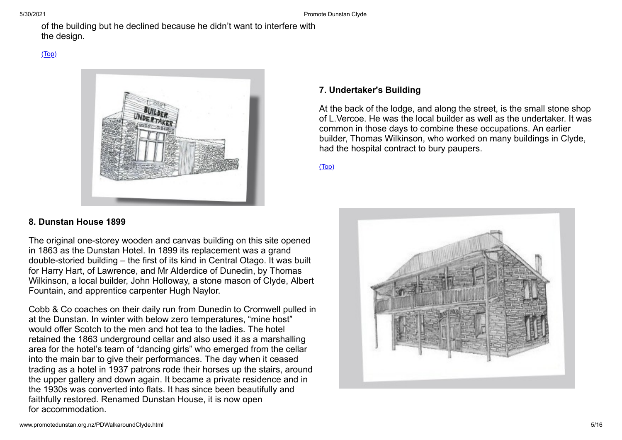of the building but he declined because he didn't want to interfere with the design.



## **7. Undertaker's Building**

At the back of the lodge, and along the street, is the small stone shop of L.Vercoe. He was the local builder as well as the undertaker. It was common in those days to combine these occupations. An earlier builder, Thomas Wilkinson, who worked on many buildings in Clyde, had the hospital contract to bury paupers.

[\(Top\)](#page-0-0)

## **8. Dunstan House 1899**

The original one-storey wooden and canvas building on this site opened in 1863 as the Dunstan Hotel. In 1899 its replacement was a grand double-storied building – the first of its kind in Central Otago. It was built for Harry Hart, of Lawrence, and Mr Alderdice of Dunedin, by Thomas Wilkinson, a local builder, John Holloway, a stone mason of Clyde, Albert Fountain, and apprentice carpenter Hugh Naylor.

Cobb & Co coaches on their daily run from Dunedin to Cromwell pulled in at the Dunstan. In winter with below zero temperatures, "mine host" would offer Scotch to the men and hot tea to the ladies. The hotel retained the 1863 underground cellar and also used it as a marshalling area for the hotel's team of "dancing girls" who emerged from the cellar into the main bar to give their performances. The day when it ceased trading as a hotel in 1937 patrons rode their horses up the stairs, around the upper gallery and down again. It became a private residence and in the 1930s was converted into flats. It has since been beautifully and faithfully restored. Renamed Dunstan House, it is now open for accommodation.

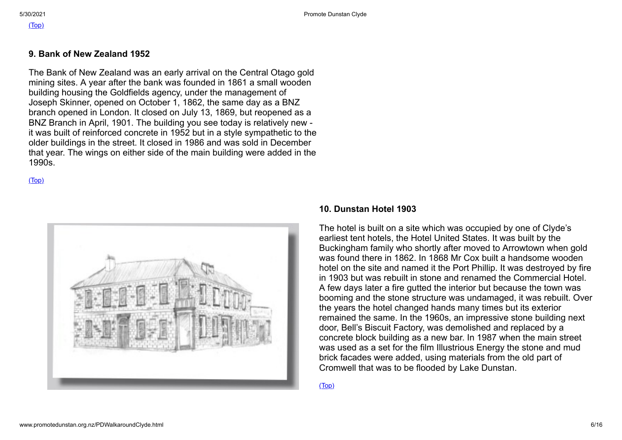#### **9. Bank of New Zealand 1952**

The Bank of New Zealand was an early arrival on the Central Otago gold mining sites. A year after the bank was founded in 1861 a small wooden building housing the Goldfields agency, under the management of Joseph Skinner, opened on October 1, 1862, the same day as a BNZ branch opened in London. It closed on July 13, 1869, but reopened as a BNZ Branch in April, 1901. The building you see today is relatively new it was built of reinforced concrete in 1952 but in a style sympathetic to the older buildings in the street. It closed in 1986 and was sold in December that year. The wings on either side of the main building were added in the 1990s.

[\(Top\)](#page-0-0)



#### **10. Dunstan Hotel 1903**

The hotel is built on a site which was occupied by one of Clyde's earliest tent hotels, the Hotel United States. It was built by the Buckingham family who shortly after moved to Arrowtown when gold was found there in 1862. In 1868 Mr Cox built a handsome wooden hotel on the site and named it the Port Phillip. It was destroyed by fire in 1903 but was rebuilt in stone and renamed the Commercial Hotel. A few days later a fire gutted the interior but because the town was booming and the stone structure was undamaged, it was rebuilt. Over the years the hotel changed hands many times but its exterior remained the same. In the 1960s, an impressive stone building next door, Bell's Biscuit Factory, was demolished and replaced by a concrete block building as a new bar. In 1987 when the main street was used as a set for the film Illustrious Energy the stone and mud brick facades were added, using materials from the old part of Cromwell that was to be flooded by Lake Dunstan.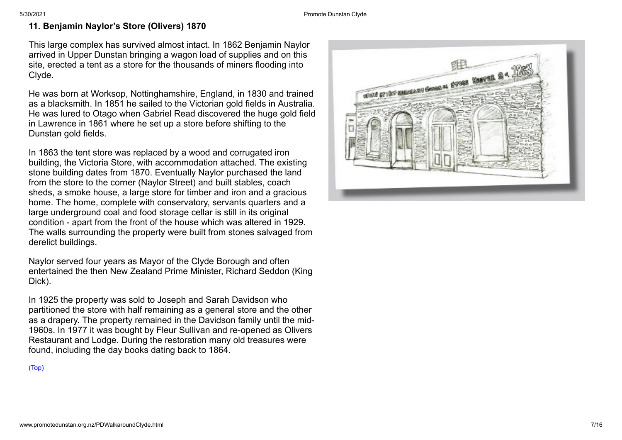## **11. Benjamin Naylor 's Store (Olivers) 1870**

This large complex has survived almost intact. In 1862 Benjamin Naylor arrived in Upper Dunstan bringing a wagon load of supplies and on this site, erected a tent as a store for the thousands of miners flooding into Clyde.

He was born at Worksop, Nottinghamshire, England, in 1830 and trained as a blacksmith. In 1851 he sailed to the Victorian gold fields in Australia. He was lured to Otago when Gabriel Read discovered the huge gold field in Lawrence in 1861 where he set up a store before shifting to the Dunstan gold fields.

In 1863 the tent store was replaced by a wood and corrugated iron building, the Victoria Store, with accommodation attached. The existing stone building dates from 1870. Eventually Naylor purchased the land from the store to the corner (Naylor Street) and built stables, coach sheds, a smoke house, a large store for timber and iron and a gracious home. The home, complete with conservatory, servants quarters and a large underground coal and food storage cellar is still in its original condition - apart from the front of the house which was altered in 1929. The walls surrounding the property were built from stones salvaged from derelict buildings.

Naylor served four years as Mayor of the Clyde Borough and often entertained the then New Zealand Prime Minister, Richard Seddon (King Dick).

In 1925 the property was sold to Joseph and Sarah Davidson who partitioned the store with half remaining as a general store and the other as a drapery. The property remained in the Davidson family until the mid-1960s. In 1977 it was bought by Fleur Sullivan and re-opened as Olivers Restaurant and Lodge. During the restoration many old treasures were found, including the day books dating back to 1864.

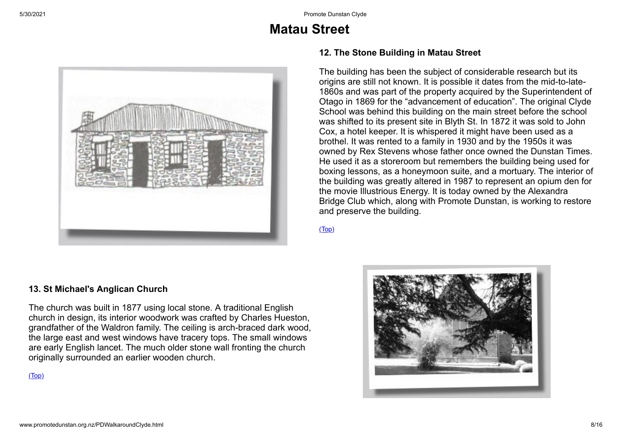# **Matau Street**



#### **12. The Stone Building in Matau Street**

The building has been the subject of considerable research but its origins are still not known. It is possible it dates from the mid-to-late-1860s and was part of the property acquired by the Superintendent of Otago in 1869 for the "advancement of education". The original Clyde School was behind this building on the main street before the school was shifted to its present site in Blyth St. In 1872 it was sold to John Cox, a hotel keeper. It is whispered it might have been used as a brothel. It was rented to a family in 1930 and by the 1950s it was owned by Rex Stevens whose father once owned the Dunstan Times. He used it as a storeroom but remembers the building being used for boxing lessons, as a honeymoon suite, and a mortuary. The interior of the building was greatly altered in 1987 to represent an opium den for the movie Illustrious Energy. It is today owned by the Alexandra Bridge Club which, along with Promote Dunstan, is working to restore and preserve the building.

[\(Top\)](#page-0-0)

#### **13. St Michael's Anglican Church**

The church was built in 1877 using local stone. A traditional English church in design, its interior woodwork was crafted by Charles Hueston, grandfather of the Waldron family. The ceiling is arch-braced dark wood, the large east and west windows have tracery tops. The small windows are early English lancet. The much older stone wall fronting the church originally surrounded an earlier wooden church.

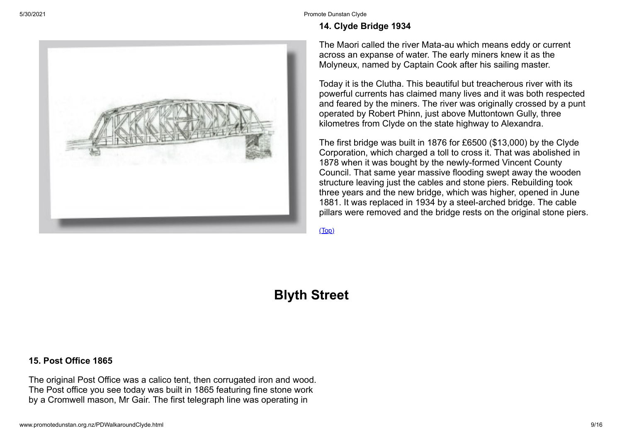#### **14. Clyde Bridge 1934**

The Maori called the river Mata-au which means eddy or current across an expanse of water. The early miners knew it as the Molyneux, named by Captain Cook after his sailing master.

Today it is the Clutha. This beautiful but treacherous river with its powerful currents has claimed many lives and it was both respected and feared by the miners. The river was originally crossed by a punt operated by Robert Phinn, just above Muttontown Gully, three kilometres from Clyde on the state highway to Alexandra.

The first bridge was built in 1876 for £6500 (\$13,000) by the Clyde Corporation, which charged a toll to cross it. That was abolished in 1878 when it was bought by the newly-formed Vincent County Council. That same year massive flooding swept away the wooden structure leaving just the cables and stone piers. Rebuilding took three years and the new bridge, which was higher, opened in June 1881. It was replaced in 1934 by a steel-arched bridge. The cable pillars were removed and the bridge rests on the original stone piers.

[\(Top\)](#page-0-0)

**Blyth Street**

#### **15. Post Office 1865**

The original Post Office was a calico tent, then corrugated iron and wood. The Post office you see today was built in 1865 featuring fine stone work by a Cromwell mason, Mr Gair. The first telegraph line was operating in

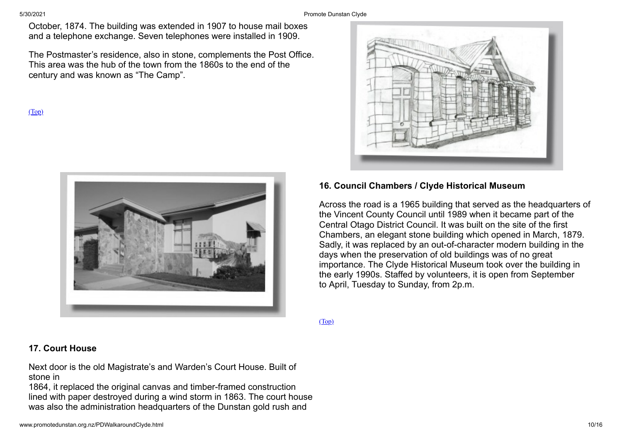October, 1874. The building was extended in 1907 to house mail boxes and a telephone exchange. Seven telephones were installed in 1909.

The Postmaster's residence, also in stone, complements the Post Office. This area was the hub of the town from the 1860s to the end of the century and was known as "The Camp".

[\(Top\)](#page-0-0)





#### **16. Council Chambers / Clyde Historical Museum**

Across the road is a 1965 building that served as the headquarters of the Vincent County Council until 1989 when it became part of the Central Otago District Council. It was built on the site of the first Chambers, an elegant stone building which opened in March, 1879. Sadly, it was replaced by an out-of-character modern building in the days when the preservation of old buildings was of no great importance. The Clyde Historical Museum took over the building in the early 1990s. Staffed by volunteers, it is open from September to April, Tuesday to Sunday, from 2p.m.

[\(Top\)](#page-0-0)

#### **17. Court House**

Next door is the old Magistrate's and Warden's Court House. Built of stone in

1864, it replaced the original canvas and timber-framed construction lined with paper destroyed during a wind storm in 1863. The court house was also the administration headquarters of the Dunstan gold rush and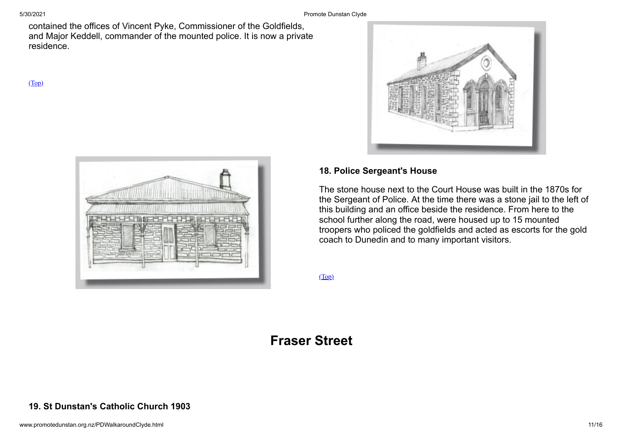5/30/2021 Promote Dunstan Clyde

contained the offices of Vincent Pyke, Commissioner of the Goldfields, and Major Keddell, commander of the mounted police. It is now a private residence.

[\(Top\)](#page-0-0)





### **18. Police Sergeant's House**

The stone house next to the Court House was built in the 1870s for the Sergeant of Police. At the time there was a stone jail to the left of this building and an office beside the residence. From here to the school further along the road, were housed up to 15 mounted troopers who policed the goldfields and acted as escorts for the gold coach to Dunedin and to many important visitors.

[\(Top\)](#page-0-0)

# **Fraser Street**

### **19. St Dunstan's Catholic Church 1903**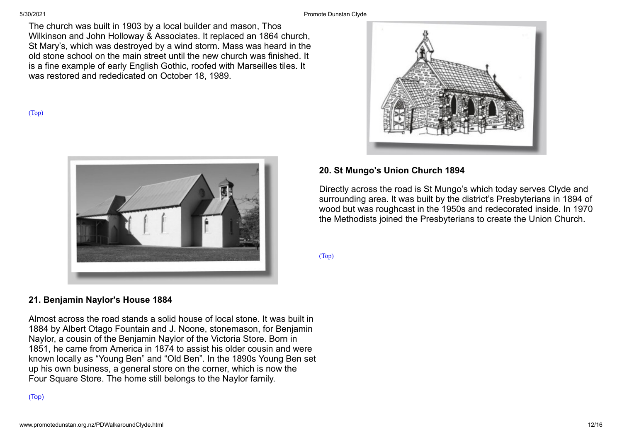5/30/2021 Promote Dunstan Clyde

The church was built in 1903 by a local builder and mason, Thos Wilkinson and John Holloway & Associates. It replaced an 1864 church, St Mary's, which was destroyed by a wind storm. Mass was heard in the old stone school on the main street until the new church was finished. It is a fine example of early English Gothic, roofed with Marseilles tiles. It was restored and rededicated on October 18, 1989.

[\(Top\)](#page-0-0)



## **21. Benjamin Naylor's House 1884**

Almost across the road stands a solid house of local stone. It was built in 1884 by Albert Otago Fountain and J. Noone, stonemason, for Benjamin Naylor, a cousin of the Benjamin Naylor of the Victoria Store. Born in 1851, he came from America in 1874 to assist his older cousin and were known locally as "Young Ben" and "Old Ben". In the 1890s Young Ben set up his own business, a general store on the corner, which is now the Four Square Store. The home still belongs to the Naylor family.

#### [\(Top\)](#page-0-0)



#### **20. St Mungo's Union Church 1894**

Directly across the road is St Mungo's which today serves Clyde and surrounding area. It was built by the district's Presbyterians in 1894 of wood but was roughcast in the 1950s and redecorated inside. In 1970 the Methodists joined the Presbyterians to create the Union Church.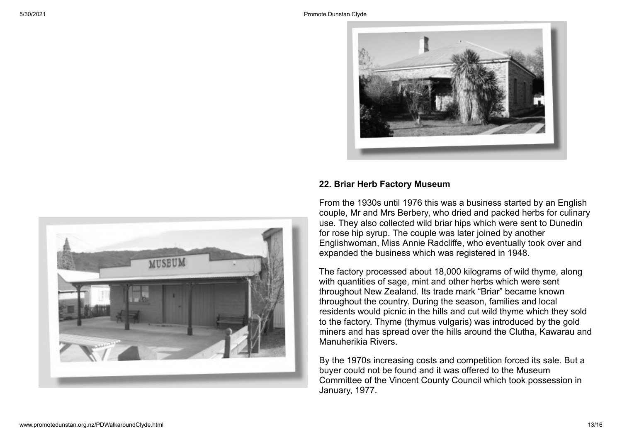

#### **22. Briar Herb Factory Museum**

From the 1930s until 1976 this was a business started by an English couple, Mr and Mrs Berbery, who dried and packed herbs for culinary use. They also collected wild briar hips which were sent to Dunedin for rose hip syrup. The couple was later joined by another Englishwoman, Miss Annie Radcliffe, who eventually took over and expanded the business which was registered in 1948.

The factory processed about 18,000 kilograms of wild thyme, along with quantities of sage, mint and other herbs which were sent throughout New Zealand. Its trade mark "Briar" became known throughout the country. During the season, families and local residents would picnic in the hills and cut wild thyme which they sold to the factory. Thyme (thymus vulgaris) was introduced by the gold miners and has spread over the hills around the Clutha, Kawarau and Manuherikia Rivers.

By the 1970s increasing costs and competition forced its sale. But a buyer could not be found and it was offered to the Museum Committee of the Vincent County Council which took possession in January, 1977.

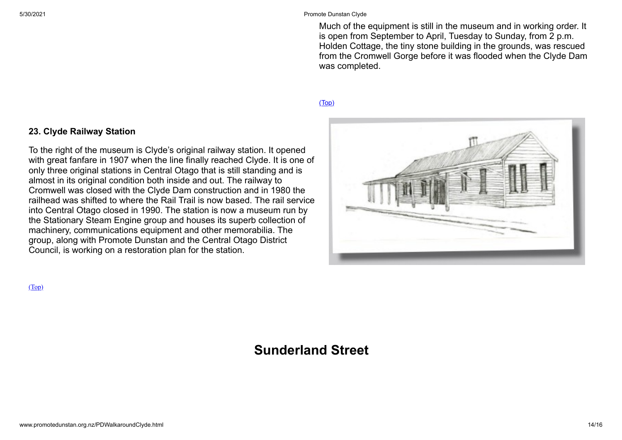Much of the equipment is still in the museum and in working order. It is open from September to April, Tuesday to Sunday, from 2 p.m. Holden Cottage, the tiny stone building in the grounds, was rescued from the Cromwell Gorge before it was flooded when the Clyde Dam was completed.

#### [\(Top\)](#page-0-0)



#### **23. Clyde Railway Station**

To the right of the museum is Clyde's original railway station. It opened with great fanfare in 1907 when the line finally reached Clyde. It is one of only three original stations in Central Otago that is still standing and is almost in its original condition both inside and out. The railway to Cromwell was closed with the Clyde Dam construction and in 1980 the railhead was shifted to where the Rail Trail is now based. The rail service into Central Otago closed in 1990. The station is now a museum run by the Stationary Steam Engine group and houses its superb collection of machinery, communications equipment and other memorabilia. The group, along with Promote Dunstan and the Central Otago District Council, is working on a restoration plan for the station.

[\(Top\)](#page-0-0)

# **Sunderland Street**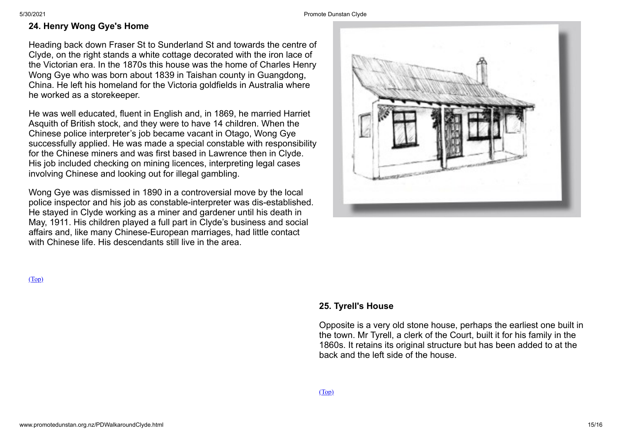### **24. Henry Wong Gye's Home**

Heading back down Fraser St to Sunderland St and towards the centre of Clyde, on the right stands a white cottage decorated with the iron lace of the Victorian era. In the 1870s this house was the home of Charles Henry Wong Gye who was born about 1839 in Taishan county in Guangdong, China. He left his homeland for the Victoria goldfields in Australia where he worked as a storekeeper.

He was well educated, fluent in English and, in 1869, he married Harriet Asquith of British stock, and they were to have 14 children. When the Chinese police interpreter's job became vacant in Otago, Wong Gye successfully applied. He was made a special constable with responsibility for the Chinese miners and was first based in Lawrence then in Clyde. His job included checking on mining licences, interpreting legal cases involving Chinese and looking out for illegal gambling.

Wong Gye was dismissed in 1890 in a controversial move by the local police inspector and his job as constable-interpreter was dis-established. He stayed in Clyde working as a miner and gardener until his death in May, 1911. His children played a full part in Clyde's business and social affairs and, like many Chinese-European marriages, had little contact with Chinese life. His descendants still live in the area.

[\(Top\)](#page-0-0)

#### **25. Tyrell's House**

Opposite is a very old stone house, perhaps the earliest one built in the town. Mr Tyrell, a clerk of the Court, built it for his family in the 1860s. It retains its original structure but has been added to at the back and the left side of the house.